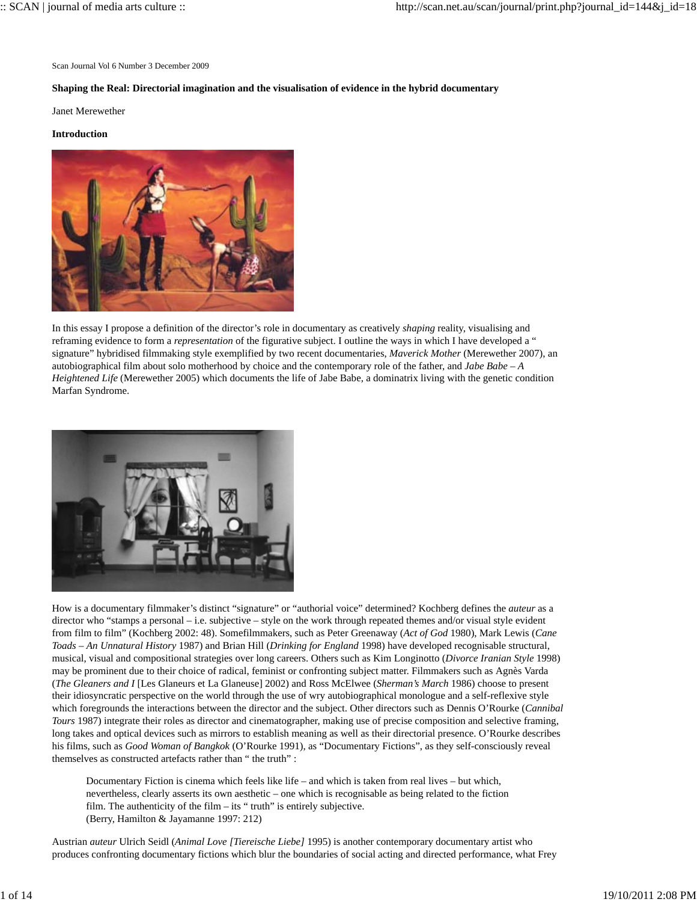Scan Journal Vol 6 Number 3 December 2009

### **Shaping the Real: Directorial imagination and the visualisation of evidence in the hybrid documentary**

Janet Merewether

#### **Introduction**



In this essay I propose a definition of the director's role in documentary as creatively *shaping* reality, visualising and reframing evidence to form a *representation* of the figurative subject. I outline the ways in which I have developed a " signature" hybridised filmmaking style exemplified by two recent documentaries, *Maverick Mother* (Merewether 2007), an autobiographical film about solo motherhood by choice and the contemporary role of the father, and *Jabe Babe – A Heightened Life* (Merewether 2005) which documents the life of Jabe Babe, a dominatrix living with the genetic condition Marfan Syndrome.



How is a documentary filmmaker's distinct "signature" or "authorial voice" determined? Kochberg defines the *auteur* as a director who "stamps a personal – i.e. subjective – style on the work through repeated themes and/or visual style evident from film to film" (Kochberg 2002: 48). Somefilmmakers, such as Peter Greenaway (*Act of God* 1980), Mark Lewis (*Cane Toads – An Unnatural History* 1987) and Brian Hill (*Drinking for England* 1998) have developed recognisable structural, musical, visual and compositional strategies over long careers. Others such as Kim Longinotto (*Divorce Iranian Style* 1998) may be prominent due to their choice of radical, feminist or confronting subject matter. Filmmakers such as Agnès Varda (*The Gleaners and I* [Les Glaneurs et La Glaneuse] 2002) and Ross McElwee (*Sherman's March* 1986) choose to present their idiosyncratic perspective on the world through the use of wry autobiographical monologue and a self-reflexive style which foregrounds the interactions between the director and the subject. Other directors such as Dennis O'Rourke (*Cannibal Tours* 1987) integrate their roles as director and cinematographer, making use of precise composition and selective framing, long takes and optical devices such as mirrors to establish meaning as well as their directorial presence. O'Rourke describes his films, such as *Good Woman of Bangkok* (O'Rourke 1991), as "Documentary Fictions", as they self-consciously reveal themselves as constructed artefacts rather than " the truth" :

Documentary Fiction is cinema which feels like life – and which is taken from real lives – but which, nevertheless, clearly asserts its own aesthetic – one which is recognisable as being related to the fiction film. The authenticity of the film – its " truth" is entirely subjective. (Berry, Hamilton & Jayamanne 1997: 212)

Austrian *auteur* Ulrich Seidl (*Animal Love [Tiereische Liebe]* 1995) is another contemporary documentary artist who produces confronting documentary fictions which blur the boundaries of social acting and directed performance, what Frey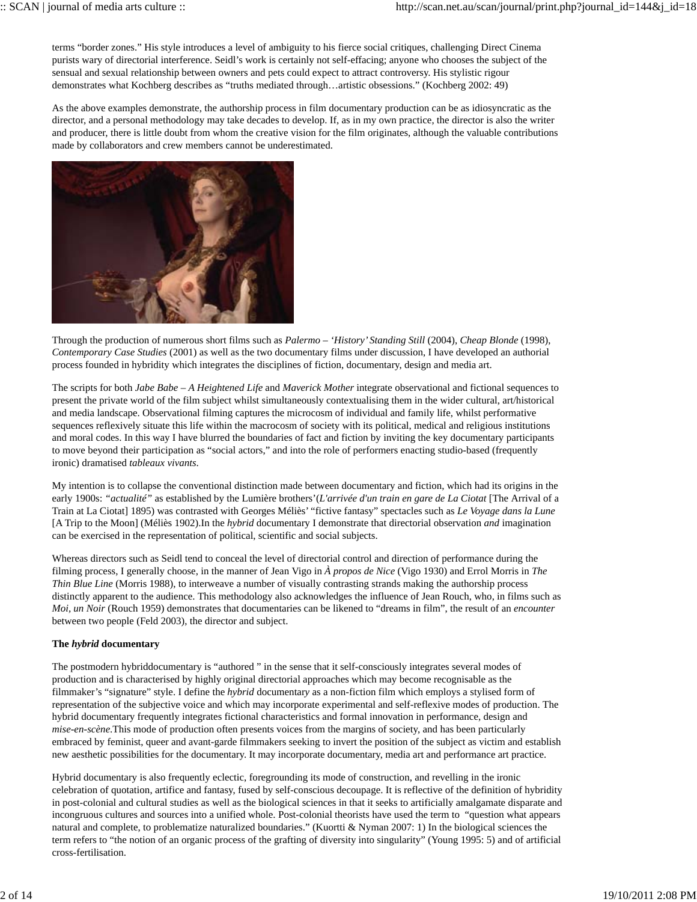terms "border zones." His style introduces a level of ambiguity to his fierce social critiques, challenging Direct Cinema purists wary of directorial interference. Seidl's work is certainly not self-effacing; anyone who chooses the subject of the sensual and sexual relationship between owners and pets could expect to attract controversy. His stylistic rigour demonstrates what Kochberg describes as "truths mediated through…artistic obsessions." (Kochberg 2002: 49)

As the above examples demonstrate, the authorship process in film documentary production can be as idiosyncratic as the director, and a personal methodology may take decades to develop. If, as in my own practice, the director is also the writer and producer, there is little doubt from whom the creative vision for the film originates, although the valuable contributions made by collaborators and crew members cannot be underestimated.



Through the production of numerous short films such as *Palermo – 'History' Standing Still* (2004), *Cheap Blonde* (1998), *Contemporary Case Studies* (2001) as well as the two documentary films under discussion, I have developed an authorial process founded in hybridity which integrates the disciplines of fiction, documentary, design and media art.

The scripts for both *Jabe Babe – A Heightened Life* and *Maverick Mother* integrate observational and fictional sequences to present the private world of the film subject whilst simultaneously contextualising them in the wider cultural, art/historical and media landscape. Observational filming captures the microcosm of individual and family life, whilst performative sequences reflexively situate this life within the macrocosm of society with its political, medical and religious institutions and moral codes. In this way I have blurred the boundaries of fact and fiction by inviting the key documentary participants to move beyond their participation as "social actors," and into the role of performers enacting studio-based (frequently ironic) dramatised *tableaux vivants*.

My intention is to collapse the conventional distinction made between documentary and fiction, which had its origins in the early 1900s: *"actualité"* as established by the Lumière brothers'(*L'arrivée d'un train en gare de La Ciotat* [The Arrival of a Train at La Ciotat] 1895) was contrasted with Georges Méliès' "fictive fantasy" spectacles such as *Le Voyage dans la Lune* [A Trip to the Moon] (Méliès 1902).In the *hybrid* documentary I demonstrate that directorial observation *and* imagination can be exercised in the representation of political, scientific and social subjects.

Whereas directors such as Seidl tend to conceal the level of directorial control and direction of performance during the filming process, I generally choose, in the manner of Jean Vigo in *À propos de Nice* (Vigo 1930) and Errol Morris in *The Thin Blue Line* (Morris 1988), to interweave a number of visually contrasting strands making the authorship process distinctly apparent to the audience. This methodology also acknowledges the influence of Jean Rouch, who, in films such as *Moi, un Noir* (Rouch 1959) demonstrates that documentaries can be likened to "dreams in film", the result of an *encounter* between two people (Feld 2003), the director and subject.

# **The** *hybrid* **documentary**

The postmodern hybriddocumentary is "authored " in the sense that it self-consciously integrates several modes of production and is characterised by highly original directorial approaches which may become recognisable as the filmmaker's "signature" style. I define the *hybrid* documentar*y* as a non-fiction film which employs a stylised form of representation of the subjective voice and which may incorporate experimental and self-reflexive modes of production. The hybrid documentary frequently integrates fictional characteristics and formal innovation in performance, design and *mise-en-scène*.This mode of production often presents voices from the margins of society, and has been particularly embraced by feminist, queer and avant-garde filmmakers seeking to invert the position of the subject as victim and establish new aesthetic possibilities for the documentary. It may incorporate documentary, media art and performance art practice.

Hybrid documentary is also frequently eclectic, foregrounding its mode of construction, and revelling in the ironic celebration of quotation, artifice and fantasy, fused by self-conscious decoupage. It is reflective of the definition of hybridity in post-colonial and cultural studies as well as the biological sciences in that it seeks to artificially amalgamate disparate and incongruous cultures and sources into a unified whole. Post-colonial theorists have used the term to "question what appears natural and complete, to problematize naturalized boundaries." (Kuortti & Nyman 2007: 1) In the biological sciences the term refers to "the notion of an organic process of the grafting of diversity into singularity" (Young 1995: 5) and of artificial cross-fertilisation.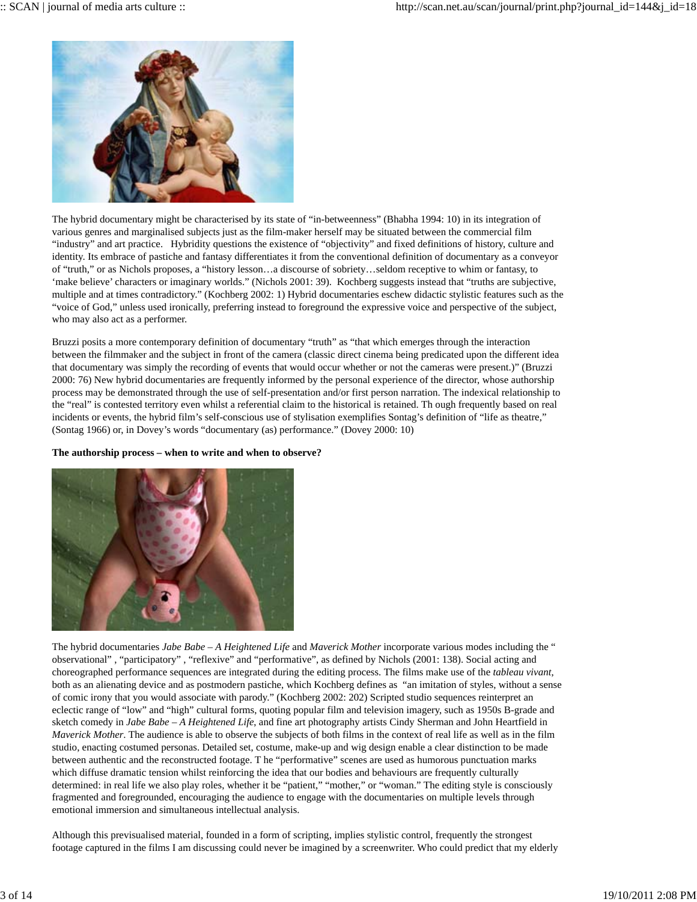

The hybrid documentary might be characterised by its state of "in-betweenness" (Bhabha 1994: 10) in its integration of various genres and marginalised subjects just as the film-maker herself may be situated between the commercial film "industry" and art practice. Hybridity questions the existence of "objectivity" and fixed definitions of history, culture and identity. Its embrace of pastiche and fantasy differentiates it from the conventional definition of documentary as a conveyor of "truth," or as Nichols proposes, a "history lesson…a discourse of sobriety…seldom receptive to whim or fantasy, to 'make believe' characters or imaginary worlds." (Nichols 2001: 39). Kochberg suggests instead that "truths are subjective, multiple and at times contradictory." (Kochberg 2002: 1) Hybrid documentaries eschew didactic stylistic features such as the "voice of God," unless used ironically, preferring instead to foreground the expressive voice and perspective of the subject, who may also act as a performer.

Bruzzi posits a more contemporary definition of documentary "truth" as "that which emerges through the interaction between the filmmaker and the subject in front of the camera (classic direct cinema being predicated upon the different idea that documentary was simply the recording of events that would occur whether or not the cameras were present.)" (Bruzzi 2000: 76) New hybrid documentaries are frequently informed by the personal experience of the director, whose authorship process may be demonstrated through the use of self-presentation and/or first person narration. The indexical relationship to the "real" is contested territory even whilst a referential claim to the historical is retained. Th ough frequently based on real incidents or events, the hybrid film's self-conscious use of stylisation exemplifies Sontag's definition of "life as theatre," (Sontag 1966) or, in Dovey's words "documentary (as) performance." (Dovey 2000: 10)

# **The authorship process – when to write and when to observe?**



The hybrid documentaries *Jabe Babe – A Heightened Life* and *Maverick Mother* incorporate various modes including the " observational" , "participatory" , "reflexive" and "performative", as defined by Nichols (2001: 138). Social acting and choreographed performance sequences are integrated during the editing process. The films make use of the *tableau vivant*, both as an alienating device and as postmodern pastiche, which Kochberg defines as "an imitation of styles, without a sense of comic irony that you would associate with parody." (Kochberg 2002: 202) Scripted studio sequences reinterpret an eclectic range of "low" and "high" cultural forms, quoting popular film and television imagery, such as 1950s B-grade and sketch comedy in *Jabe Babe – A Heightened Life*, and fine art photography artists Cindy Sherman and John Heartfield in *Maverick Mother*. The audience is able to observe the subjects of both films in the context of real life as well as in the film studio, enacting costumed personas. Detailed set, costume, make-up and wig design enable a clear distinction to be made between authentic and the reconstructed footage. T he "performative" scenes are used as humorous punctuation marks which diffuse dramatic tension whilst reinforcing the idea that our bodies and behaviours are frequently culturally determined: in real life we also play roles, whether it be "patient," "mother," or "woman." The editing style is consciously fragmented and foregrounded, encouraging the audience to engage with the documentaries on multiple levels through emotional immersion and simultaneous intellectual analysis.

Although this previsualised material, founded in a form of scripting, implies stylistic control, frequently the strongest footage captured in the films I am discussing could never be imagined by a screenwriter. Who could predict that my elderly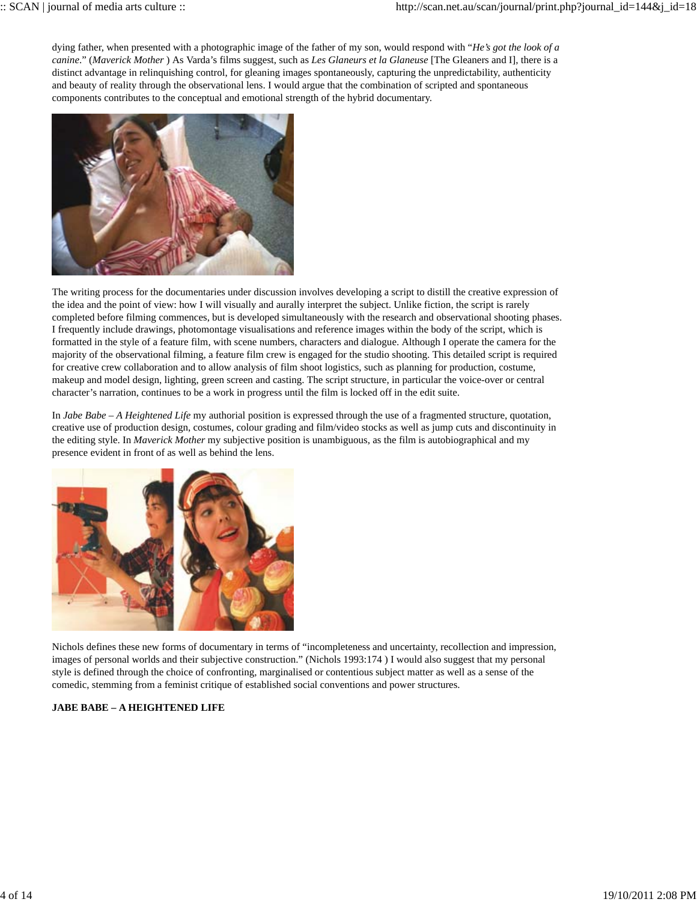dying father, when presented with a photographic image of the father of my son, would respond with "*He's got the look of a canine*." (*Maverick Mother* ) As Varda's films suggest, such as *Les Glaneurs et la Glaneuse* [The Gleaners and I], there is a distinct advantage in relinquishing control, for gleaning images spontaneously, capturing the unpredictability, authenticity and beauty of reality through the observational lens. I would argue that the combination of scripted and spontaneous components contributes to the conceptual and emotional strength of the hybrid documentary.



The writing process for the documentaries under discussion involves developing a script to distill the creative expression of the idea and the point of view: how I will visually and aurally interpret the subject. Unlike fiction, the script is rarely completed before filming commences, but is developed simultaneously with the research and observational shooting phases. I frequently include drawings, photomontage visualisations and reference images within the body of the script, which is formatted in the style of a feature film, with scene numbers, characters and dialogue. Although I operate the camera for the majority of the observational filming, a feature film crew is engaged for the studio shooting. This detailed script is required for creative crew collaboration and to allow analysis of film shoot logistics, such as planning for production, costume, makeup and model design, lighting, green screen and casting. The script structure, in particular the voice-over or central character's narration, continues to be a work in progress until the film is locked off in the edit suite.

In *Jabe Babe – A Heightened Life* my authorial position is expressed through the use of a fragmented structure, quotation, creative use of production design, costumes, colour grading and film/video stocks as well as jump cuts and discontinuity in the editing style. In *Maverick Mother* my subjective position is unambiguous, as the film is autobiographical and my presence evident in front of as well as behind the lens.



Nichols defines these new forms of documentary in terms of "incompleteness and uncertainty, recollection and impression, images of personal worlds and their subjective construction." (Nichols 1993:174 ) I would also suggest that my personal style is defined through the choice of confronting, marginalised or contentious subject matter as well as a sense of the comedic, stemming from a feminist critique of established social conventions and power structures.

# **JABE BABE – A HEIGHTENED LIFE**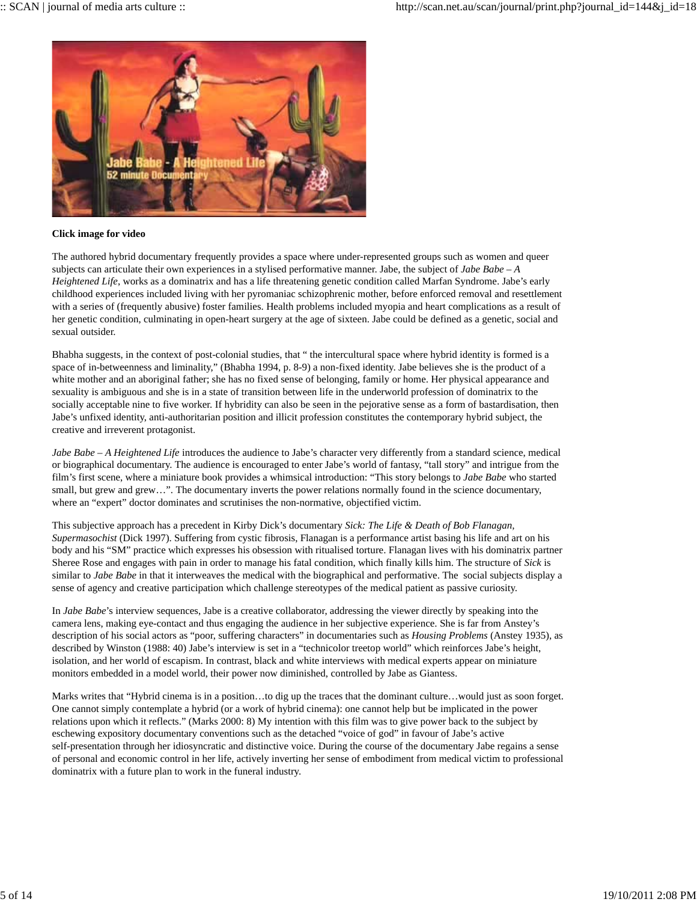

# **Click image for video**

The authored hybrid documentary frequently provides a space where under-represented groups such as women and queer subjects can articulate their own experiences in a stylised performative manner. Jabe, the subject of *Jabe Babe – A Heightened Life*, works as a dominatrix and has a life threatening genetic condition called Marfan Syndrome. Jabe's early childhood experiences included living with her pyromaniac schizophrenic mother, before enforced removal and resettlement with a series of (frequently abusive) foster families. Health problems included myopia and heart complications as a result of her genetic condition, culminating in open-heart surgery at the age of sixteen. Jabe could be defined as a genetic, social and sexual outsider.

Bhabha suggests, in the context of post-colonial studies, that " the intercultural space where hybrid identity is formed is a space of in-betweenness and liminality," (Bhabha 1994, p. 8-9) a non-fixed identity. Jabe believes she is the product of a white mother and an aboriginal father; she has no fixed sense of belonging, family or home. Her physical appearance and sexuality is ambiguous and she is in a state of transition between life in the underworld profession of dominatrix to the socially acceptable nine to five worker. If hybridity can also be seen in the pejorative sense as a form of bastardisation, then Jabe's unfixed identity, anti-authoritarian position and illicit profession constitutes the contemporary hybrid subject, the creative and irreverent protagonist.

*Jabe Babe – A Heightened Life* introduces the audience to Jabe's character very differently from a standard science, medical or biographical documentary. The audience is encouraged to enter Jabe's world of fantasy, "tall story" and intrigue from the film's first scene, where a miniature book provides a whimsical introduction: "This story belongs to *Jabe Babe* who started small, but grew and grew...". The documentary inverts the power relations normally found in the science documentary, where an "expert" doctor dominates and scrutinises the non-normative, objectified victim.

This subjective approach has a precedent in Kirby Dick's documentary *Sick: The Life & Death of Bob Flanagan, Supermasochist* (Dick 1997). Suffering from cystic fibrosis, Flanagan is a performance artist basing his life and art on his body and his "SM" practice which expresses his obsession with ritualised torture. Flanagan lives with his dominatrix partner Sheree Rose and engages with pain in order to manage his fatal condition, which finally kills him. The structure of *Sick* is similar to *Jabe Babe* in that it interweaves the medical with the biographical and performative. The social subjects display a sense of agency and creative participation which challenge stereotypes of the medical patient as passive curiosity.

In *Jabe Babe*'s interview sequences, Jabe is a creative collaborator, addressing the viewer directly by speaking into the camera lens, making eye-contact and thus engaging the audience in her subjective experience. She is far from Anstey's description of his social actors as "poor, suffering characters" in documentaries such as *Housing Problems* (Anstey 1935), as described by Winston (1988: 40) Jabe's interview is set in a "technicolor treetop world" which reinforces Jabe's height, isolation, and her world of escapism. In contrast, black and white interviews with medical experts appear on miniature monitors embedded in a model world, their power now diminished, controlled by Jabe as Giantess.

Marks writes that "Hybrid cinema is in a position…to dig up the traces that the dominant culture…would just as soon forget. One cannot simply contemplate a hybrid (or a work of hybrid cinema): one cannot help but be implicated in the power relations upon which it reflects." (Marks 2000: 8) My intention with this film was to give power back to the subject by eschewing expository documentary conventions such as the detached "voice of god" in favour of Jabe's active self-presentation through her idiosyncratic and distinctive voice. During the course of the documentary Jabe regains a sense of personal and economic control in her life, actively inverting her sense of embodiment from medical victim to professional dominatrix with a future plan to work in the funeral industry.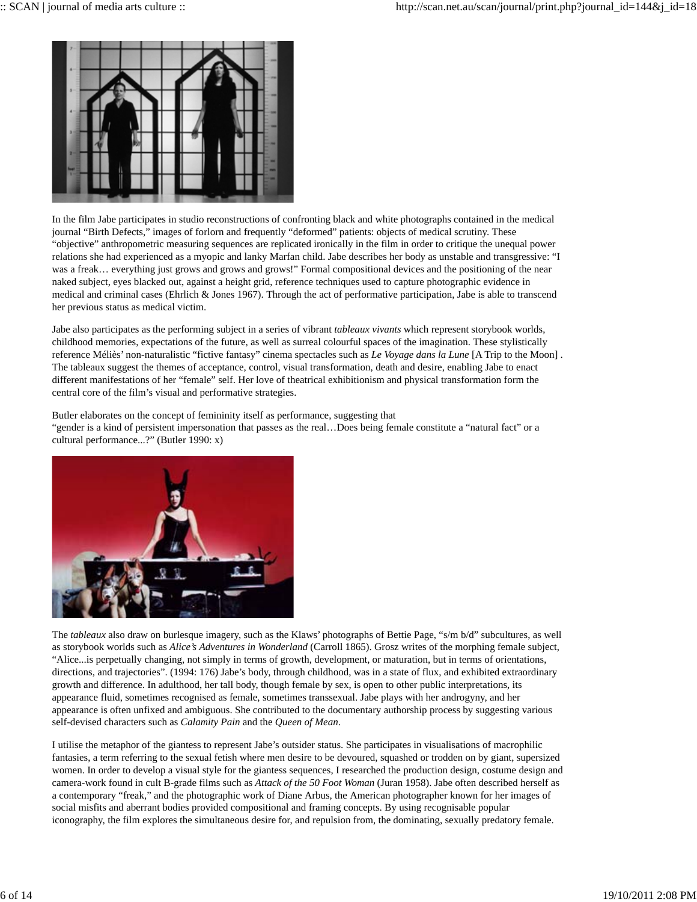

In the film Jabe participates in studio reconstructions of confronting black and white photographs contained in the medical journal "Birth Defects," images of forlorn and frequently "deformed" patients: objects of medical scrutiny. These "objective" anthropometric measuring sequences are replicated ironically in the film in order to critique the unequal power relations she had experienced as a myopic and lanky Marfan child. Jabe describes her body as unstable and transgressive: "I was a freak... everything just grows and grows and grows!" Formal compositional devices and the positioning of the near naked subject, eyes blacked out, against a height grid, reference techniques used to capture photographic evidence in medical and criminal cases (Ehrlich & Jones 1967). Through the act of performative participation, Jabe is able to transcend her previous status as medical victim.

Jabe also participates as the performing subject in a series of vibrant *tableaux vivants* which represent storybook worlds, childhood memories, expectations of the future, as well as surreal colourful spaces of the imagination. These stylistically reference Méliès' non-naturalistic "fictive fantasy" cinema spectacles such as *Le Voyage dans la Lune* [A Trip to the Moon] . The tableaux suggest the themes of acceptance, control, visual transformation, death and desire, enabling Jabe to enact different manifestations of her "female" self. Her love of theatrical exhibitionism and physical transformation form the central core of the film's visual and performative strategies.

Butler elaborates on the concept of femininity itself as performance, suggesting that "gender is a kind of persistent impersonation that passes as the real…Does being female constitute a "natural fact" or a cultural performance...?" (Butler 1990: x)



The *tableaux* also draw on burlesque imagery, such as the Klaws' photographs of Bettie Page, "s/m b/d" subcultures, as well as storybook worlds such as *Alice's Adventures in Wonderland* (Carroll 1865). Grosz writes of the morphing female subject, "Alice...is perpetually changing, not simply in terms of growth, development, or maturation, but in terms of orientations, directions, and trajectories". (1994: 176) Jabe's body, through childhood, was in a state of flux, and exhibited extraordinary growth and difference. In adulthood, her tall body, though female by sex, is open to other public interpretations, its appearance fluid, sometimes recognised as female, sometimes transsexual. Jabe plays with her androgyny, and her appearance is often unfixed and ambiguous. She contributed to the documentary authorship process by suggesting various self-devised characters such as *Calamity Pain* and the *Queen of Mean*.

I utilise the metaphor of the giantess to represent Jabe's outsider status. She participates in visualisations of macrophilic fantasies, a term referring to the sexual fetish where men desire to be devoured, squashed or trodden on by giant, supersized women. In order to develop a visual style for the giantess sequences, I researched the production design, costume design and camera-work found in cult B-grade films such as *Attack of the 50 Foot Woman* (Juran 1958). Jabe often described herself as a contemporary "freak," and the photographic work of Diane Arbus, the American photographer known for her images of social misfits and aberrant bodies provided compositional and framing concepts. By using recognisable popular iconography, the film explores the simultaneous desire for, and repulsion from, the dominating, sexually predatory female.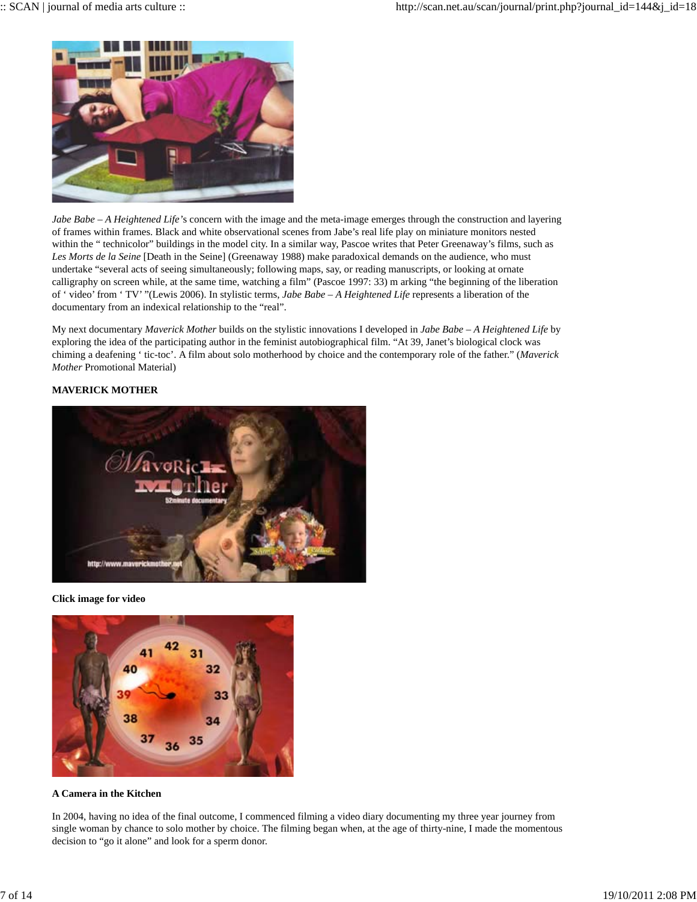

*Jabe Babe – A Heightened Life'*s concern with the image and the meta-image emerges through the construction and layering of frames within frames. Black and white observational scenes from Jabe's real life play on miniature monitors nested within the " technicolor" buildings in the model city. In a similar way, Pascoe writes that Peter Greenaway's films, such as *Les Morts de la Seine* [Death in the Seine] (Greenaway 1988) make paradoxical demands on the audience, who must undertake "several acts of seeing simultaneously; following maps, say, or reading manuscripts, or looking at ornate calligraphy on screen while, at the same time, watching a film" (Pascoe 1997: 33) m arking "the beginning of the liberation of ' video' from ' TV' "(Lewis 2006). In stylistic terms, *Jabe Babe – A Heightened Life* represents a liberation of the documentary from an indexical relationship to the "real".

My next documentary *Maverick Mother* builds on the stylistic innovations I developed in *Jabe Babe – A Heightened Life* by exploring the idea of the participating author in the feminist autobiographical film. "At 39, Janet's biological clock was chiming a deafening ' tic-toc'. A film about solo motherhood by choice and the contemporary role of the father." (*Maverick Mother* Promotional Material)

# **MAVERICK MOTHER**



**Click image for video**



# **A Camera in the Kitchen**

In 2004, having no idea of the final outcome, I commenced filming a video diary documenting my three year journey from single woman by chance to solo mother by choice. The filming began when, at the age of thirty-nine, I made the momentous decision to "go it alone" and look for a sperm donor.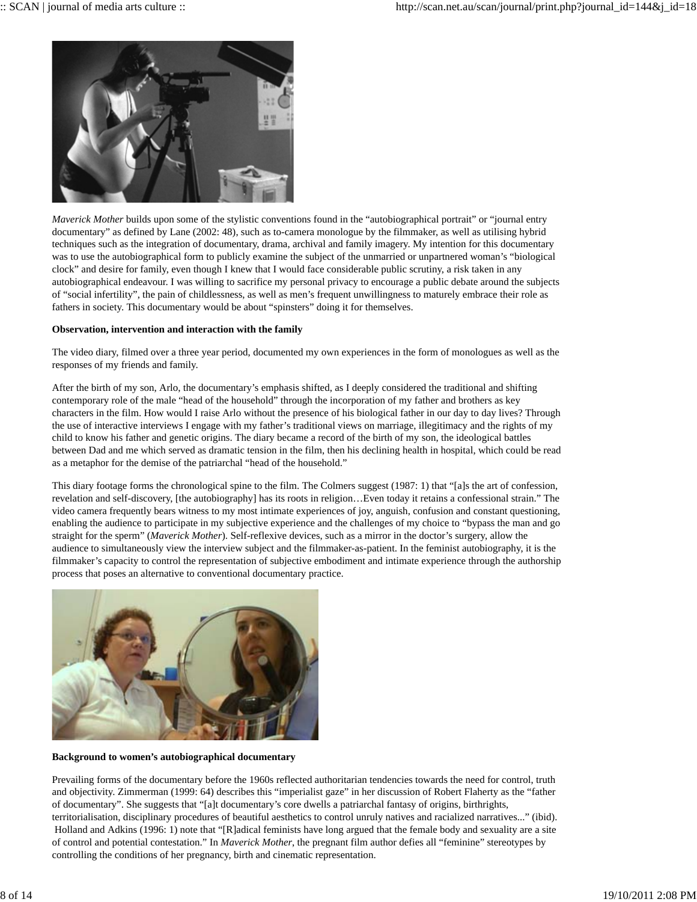

*Maverick Mother* builds upon some of the stylistic conventions found in the "autobiographical portrait" or "journal entry documentary" as defined by Lane (2002: 48), such as to-camera monologue by the filmmaker, as well as utilising hybrid techniques such as the integration of documentary, drama, archival and family imagery. My intention for this documentary was to use the autobiographical form to publicly examine the subject of the unmarried or unpartnered woman's "biological clock" and desire for family, even though I knew that I would face considerable public scrutiny, a risk taken in any autobiographical endeavour. I was willing to sacrifice my personal privacy to encourage a public debate around the subjects of "social infertility", the pain of childlessness, as well as men's frequent unwillingness to maturely embrace their role as fathers in society. This documentary would be about "spinsters" doing it for themselves.

### **Observation, intervention and interaction with the family**

The video diary, filmed over a three year period, documented my own experiences in the form of monologues as well as the responses of my friends and family.

After the birth of my son, Arlo, the documentary's emphasis shifted, as I deeply considered the traditional and shifting contemporary role of the male "head of the household" through the incorporation of my father and brothers as key characters in the film. How would I raise Arlo without the presence of his biological father in our day to day lives? Through the use of interactive interviews I engage with my father's traditional views on marriage, illegitimacy and the rights of my child to know his father and genetic origins. The diary became a record of the birth of my son, the ideological battles between Dad and me which served as dramatic tension in the film, then his declining health in hospital, which could be read as a metaphor for the demise of the patriarchal "head of the household."

This diary footage forms the chronological spine to the film. The Colmers suggest (1987: 1) that "[a]s the art of confession, revelation and self-discovery, [the autobiography] has its roots in religion…Even today it retains a confessional strain." The video camera frequently bears witness to my most intimate experiences of joy, anguish, confusion and constant questioning, enabling the audience to participate in my subjective experience and the challenges of my choice to "bypass the man and go straight for the sperm" (*Maverick Mother*). Self-reflexive devices, such as a mirror in the doctor's surgery, allow the audience to simultaneously view the interview subject and the filmmaker-as-patient. In the feminist autobiography, it is the filmmaker's capacity to control the representation of subjective embodiment and intimate experience through the authorship process that poses an alternative to conventional documentary practice.



**Background to women's autobiographical documentary**

Prevailing forms of the documentary before the 1960s reflected authoritarian tendencies towards the need for control, truth and objectivity. Zimmerman (1999: 64) describes this "imperialist gaze" in her discussion of Robert Flaherty as the "father of documentary". She suggests that "[a]t documentary's core dwells a patriarchal fantasy of origins, birthrights, territorialisation, disciplinary procedures of beautiful aesthetics to control unruly natives and racialized narratives..." (ibid). Holland and Adkins (1996: 1) note that "[R]adical feminists have long argued that the female body and sexuality are a site of control and potential contestation." In *Maverick Mother*, the pregnant film author defies all "feminine" stereotypes by controlling the conditions of her pregnancy, birth and cinematic representation.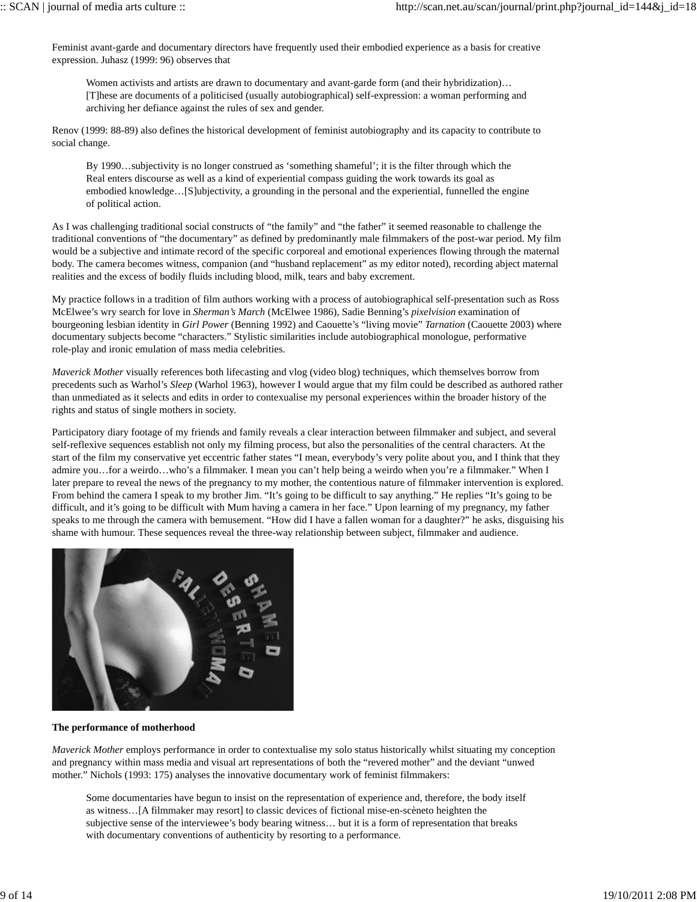Feminist avant-garde and documentary directors have frequently used their embodied experience as a basis for creative expression. Juhasz (1999: 96) observes that

Women activists and artists are drawn to documentary and avant-garde form (and their hybridization)... [T]hese are documents of a politicised (usually autobiographical) self-expression: a woman performing and archiving her defiance against the rules of sex and gender.

Renov (1999: 88-89) also defines the historical development of feminist autobiography and its capacity to contribute to social change.

By 1990…subjectivity is no longer construed as 'something shameful'; it is the filter through which the Real enters discourse as well as a kind of experiential compass guiding the work towards its goal as embodied knowledge…[S]ubjectivity, a grounding in the personal and the experiential, funnelled the engine of political action.

As I was challenging traditional social constructs of "the family" and "the father" it seemed reasonable to challenge the traditional conventions of "the documentary" as defined by predominantly male filmmakers of the post-war period. My film would be a subjective and intimate record of the specific corporeal and emotional experiences flowing through the maternal body. The camera becomes witness, companion (and "husband replacement" as my editor noted), recording abject maternal realities and the excess of bodily fluids including blood, milk, tears and baby excrement.

My practice follows in a tradition of film authors working with a process of autobiographical self-presentation such as Ross McElwee's wry search for love in *Sherman's March* (McElwee 1986), Sadie Benning's *pixelvision* examination of bourgeoning lesbian identity in *Girl Power* (Benning 1992) and Caouette's "living movie" *Tarnation* (Caouette 2003) where documentary subjects become "characters." Stylistic similarities include autobiographical monologue, performative role-play and ironic emulation of mass media celebrities.

*Maverick Mother* visually references both lifecasting and vlog (video blog) techniques, which themselves borrow from precedents such as Warhol's *Sleep* (Warhol 1963), however I would argue that my film could be described as authored rather than unmediated as it selects and edits in order to contexualise my personal experiences within the broader history of the rights and status of single mothers in society.

Participatory diary footage of my friends and family reveals a clear interaction between filmmaker and subject, and several self-reflexive sequences establish not only my filming process, but also the personalities of the central characters. At the start of the film my conservative yet eccentric father states "I mean, everybody's very polite about you, and I think that they admire you…for a weirdo…who's a filmmaker. I mean you can't help being a weirdo when you're a filmmaker." When I later prepare to reveal the news of the pregnancy to my mother, the contentious nature of filmmaker intervention is explored. From behind the camera I speak to my brother Jim. "It's going to be difficult to say anything." He replies "It's going to be difficult, and it's going to be difficult with Mum having a camera in her face." Upon learning of my pregnancy, my father speaks to me through the camera with bemusement. "How did I have a fallen woman for a daughter?" he asks, disguising his shame with humour. These sequences reveal the three-way relationship between subject, filmmaker and audience.



### **The performance of motherhood**

*Maverick Mother* employs performance in order to contextualise my solo status historically whilst situating my conception and pregnancy within mass media and visual art representations of both the "revered mother" and the deviant "unwed mother." Nichols (1993: 175) analyses the innovative documentary work of feminist filmmakers:

Some documentaries have begun to insist on the representation of experience and, therefore, the body itself as witness…[A filmmaker may resort] to classic devices of fictional mise-en-scèneto heighten the subjective sense of the interviewee's body bearing witness… but it is a form of representation that breaks with documentary conventions of authenticity by resorting to a performance.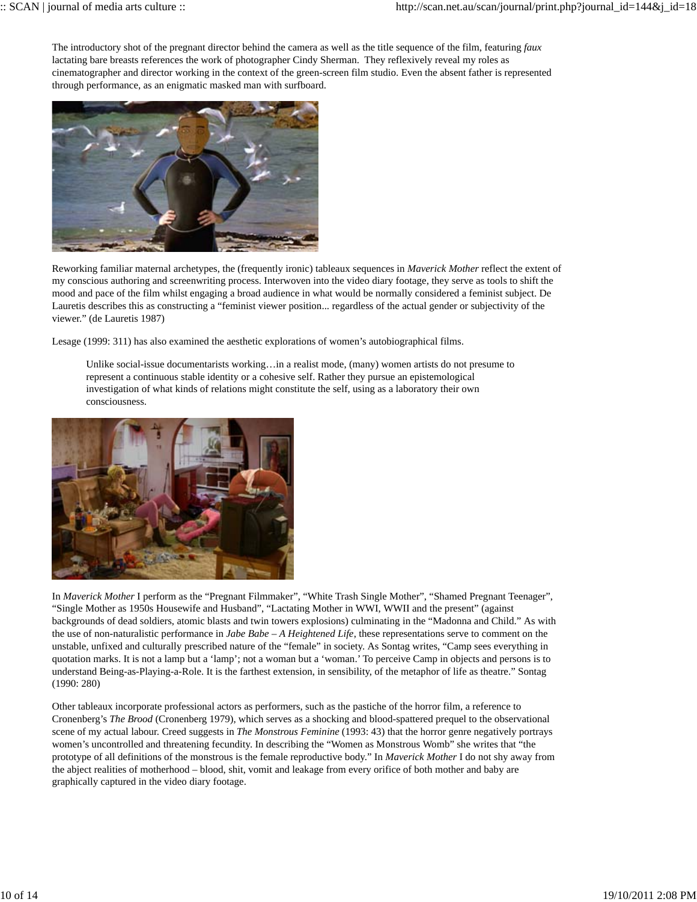The introductory shot of the pregnant director behind the camera as well as the title sequence of the film, featuring *faux* lactating bare breasts references the work of photographer Cindy Sherman. They reflexively reveal my roles as cinematographer and director working in the context of the green-screen film studio. Even the absent father is represented through performance, as an enigmatic masked man with surfboard.



Reworking familiar maternal archetypes, the (frequently ironic) tableaux sequences in *Maverick Mother* reflect the extent of my conscious authoring and screenwriting process. Interwoven into the video diary footage, they serve as tools to shift the mood and pace of the film whilst engaging a broad audience in what would be normally considered a feminist subject. De Lauretis describes this as constructing a "feminist viewer position... regardless of the actual gender or subjectivity of the viewer." (de Lauretis 1987)

Lesage (1999: 311) has also examined the aesthetic explorations of women's autobiographical films.

Unlike social-issue documentarists working…in a realist mode, (many) women artists do not presume to represent a continuous stable identity or a cohesive self. Rather they pursue an epistemological investigation of what kinds of relations might constitute the self, using as a laboratory their own consciousness.



In *Maverick Mother* I perform as the "Pregnant Filmmaker", "White Trash Single Mother", "Shamed Pregnant Teenager", "Single Mother as 1950s Housewife and Husband", "Lactating Mother in WWI, WWII and the present" (against backgrounds of dead soldiers, atomic blasts and twin towers explosions) culminating in the "Madonna and Child." As with the use of non-naturalistic performance in *Jabe Babe – A Heightened Life*, these representations serve to comment on the unstable, unfixed and culturally prescribed nature of the "female" in society. As Sontag writes, "Camp sees everything in quotation marks. It is not a lamp but a 'lamp'; not a woman but a 'woman.' To perceive Camp in objects and persons is to understand Being-as-Playing-a-Role. It is the farthest extension, in sensibility, of the metaphor of life as theatre." Sontag (1990: 280)

Other tableaux incorporate professional actors as performers, such as the pastiche of the horror film, a reference to Cronenberg's *The Brood* (Cronenberg 1979), which serves as a shocking and blood-spattered prequel to the observational scene of my actual labour. Creed suggests in *The Monstrous Feminine* (1993: 43) that the horror genre negatively portrays women's uncontrolled and threatening fecundity. In describing the "Women as Monstrous Womb" she writes that "the prototype of all definitions of the monstrous is the female reproductive body." In *Maverick Mother* I do not shy away from the abject realities of motherhood – blood, shit, vomit and leakage from every orifice of both mother and baby are graphically captured in the video diary footage.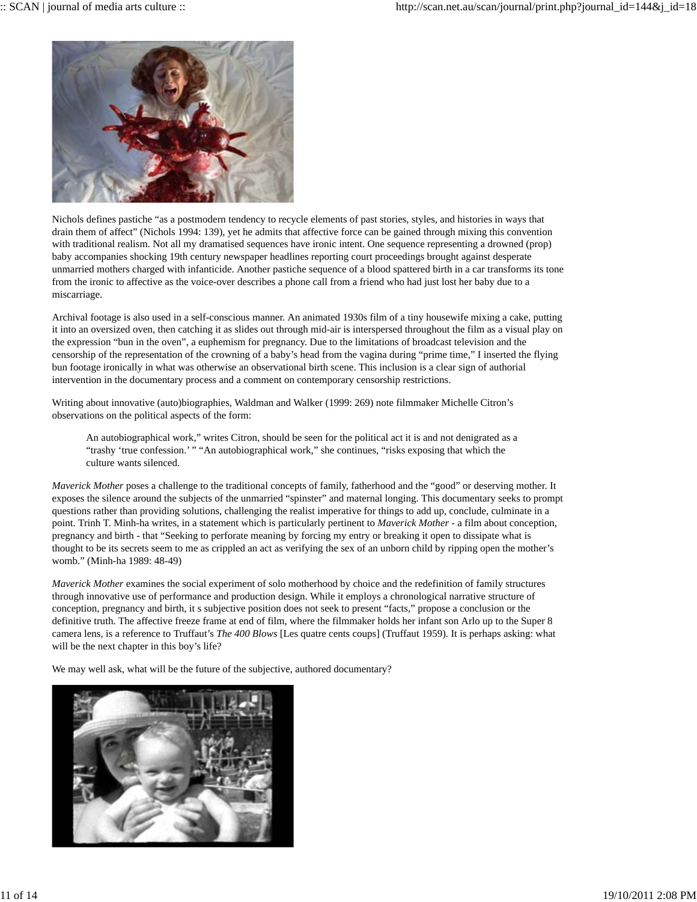

Nichols defines pastiche "as a postmodern tendency to recycle elements of past stories, styles, and histories in ways that drain them of affect" (Nichols 1994: 139), yet he admits that affective force can be gained through mixing this convention with traditional realism. Not all my dramatised sequences have ironic intent. One sequence representing a drowned (prop) baby accompanies shocking 19th century newspaper headlines reporting court proceedings brought against desperate unmarried mothers charged with infanticide. Another pastiche sequence of a blood spattered birth in a car transforms its tone from the ironic to affective as the voice-over describes a phone call from a friend who had just lost her baby due to a miscarriage.

Archival footage is also used in a self-conscious manner. An animated 1930s film of a tiny housewife mixing a cake, putting it into an oversized oven, then catching it as slides out through mid-air is interspersed throughout the film as a visual play on the expression "bun in the oven", a euphemism for pregnancy. Due to the limitations of broadcast television and the censorship of the representation of the crowning of a baby's head from the vagina during "prime time," I inserted the flying bun footage ironically in what was otherwise an observational birth scene. This inclusion is a clear sign of authorial intervention in the documentary process and a comment on contemporary censorship restrictions.

Writing about innovative (auto)biographies, Waldman and Walker (1999: 269) note filmmaker Michelle Citron's observations on the political aspects of the form:

An autobiographical work," writes Citron, should be seen for the political act it is and not denigrated as a "trashy 'true confession.' " "An autobiographical work," she continues, "risks exposing that which the culture wants silenced.

*Maverick Mother* poses a challenge to the traditional concepts of family, fatherhood and the "good" or deserving mother. It exposes the silence around the subjects of the unmarried "spinster" and maternal longing. This documentary seeks to prompt questions rather than providing solutions, challenging the realist imperative for things to add up, conclude, culminate in a point. Trinh T. Minh-ha writes, in a statement which is particularly pertinent to *Maverick Mother* - a film about conception, pregnancy and birth - that "Seeking to perforate meaning by forcing my entry or breaking it open to dissipate what is thought to be its secrets seem to me as crippled an act as verifying the sex of an unborn child by ripping open the mother's womb." (Minh-ha 1989: 48-49)

*Maverick Mother* examines the social experiment of solo motherhood by choice and the redefinition of family structures through innovative use of performance and production design. While it employs a chronological narrative structure of conception, pregnancy and birth, it s subjective position does not seek to present "facts," propose a conclusion or the definitive truth. The affective freeze frame at end of film, where the filmmaker holds her infant son Arlo up to the Super 8 camera lens, is a reference to Truffaut's *The 400 Blows* [Les quatre cents coups] (Truffaut 1959). It is perhaps asking: what will be the next chapter in this boy's life?

We may well ask, what will be the future of the subjective, authored documentary?

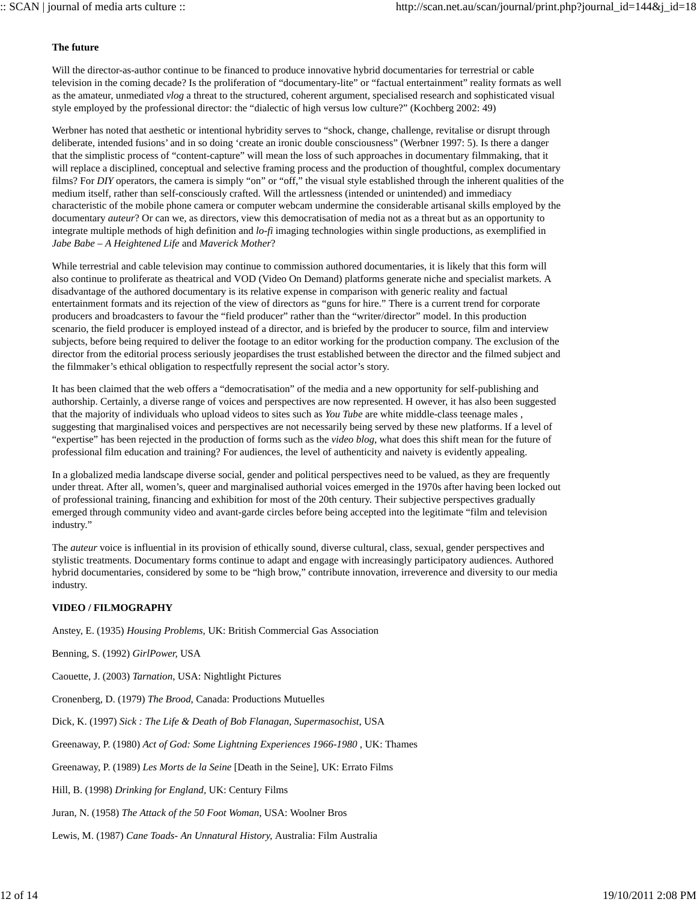## **The future**

Will the director-as-author continue to be financed to produce innovative hybrid documentaries for terrestrial or cable television in the coming decade? Is the proliferation of "documentary-lite" or "factual entertainment" reality formats as well as the amateur, unmediated *vlog* a threat to the structured, coherent argument, specialised research and sophisticated visual style employed by the professional director: the "dialectic of high versus low culture?" (Kochberg 2002: 49)

Werbner has noted that aesthetic or intentional hybridity serves to "shock, change, challenge, revitalise or disrupt through deliberate, intended fusions' and in so doing 'create an ironic double consciousness" (Werbner 1997: 5). Is there a danger that the simplistic process of "content-capture" will mean the loss of such approaches in documentary filmmaking, that it will replace a disciplined, conceptual and selective framing process and the production of thoughtful, complex documentary films? For *DIY* operators, the camera is simply "on" or "off," the visual style established through the inherent qualities of the medium itself, rather than self-consciously crafted. Will the artlessness (intended or unintended) and immediacy characteristic of the mobile phone camera or computer webcam undermine the considerable artisanal skills employed by the documentary *auteur*? Or can we, as directors, view this democratisation of media not as a threat but as an opportunity to integrate multiple methods of high definition and *lo-fi* imaging technologies within single productions, as exemplified in *Jabe Babe – A Heightened Life* and *Maverick Mother*?

While terrestrial and cable television may continue to commission authored documentaries, it is likely that this form will also continue to proliferate as theatrical and VOD (Video On Demand) platforms generate niche and specialist markets. A disadvantage of the authored documentary is its relative expense in comparison with generic reality and factual entertainment formats and its rejection of the view of directors as "guns for hire." There is a current trend for corporate producers and broadcasters to favour the "field producer" rather than the "writer/director" model. In this production scenario, the field producer is employed instead of a director, and is briefed by the producer to source, film and interview subjects, before being required to deliver the footage to an editor working for the production company. The exclusion of the director from the editorial process seriously jeopardises the trust established between the director and the filmed subject and the filmmaker's ethical obligation to respectfully represent the social actor's story.

It has been claimed that the web offers a "democratisation" of the media and a new opportunity for self-publishing and authorship. Certainly, a diverse range of voices and perspectives are now represented. H owever, it has also been suggested that the majority of individuals who upload videos to sites such as *You Tube* are white middle-class teenage males , suggesting that marginalised voices and perspectives are not necessarily being served by these new platforms. If a level of "expertise" has been rejected in the production of forms such as the *video blog*, what does this shift mean for the future of professional film education and training? For audiences, the level of authenticity and naivety is evidently appealing.

In a globalized media landscape diverse social, gender and political perspectives need to be valued, as they are frequently under threat. After all, women's, queer and marginalised authorial voices emerged in the 1970s after having been locked out of professional training, financing and exhibition for most of the 20th century. Their subjective perspectives gradually emerged through community video and avant-garde circles before being accepted into the legitimate "film and television industry."

The *auteur* voice is influential in its provision of ethically sound, diverse cultural, class, sexual, gender perspectives and stylistic treatments. Documentary forms continue to adapt and engage with increasingly participatory audiences. Authored hybrid documentaries, considered by some to be "high brow," contribute innovation, irreverence and diversity to our media industry.

### **VIDEO / FILMOGRAPHY**

Anstey, E. (1935) *Housing Problems,* UK: British Commercial Gas Association

Benning, S. (1992) *GirlPower,* USA

Caouette, J. (2003) *Tarnation*, USA: Nightlight Pictures

Cronenberg, D. (1979) *The Brood*, Canada: Productions Mutuelles

Dick, K. (1997) *Sick : The Life & Death of Bob Flanagan, Supermasochist*, USA

Greenaway, P. (1980) *Act of God: Some Lightning Experiences 1966-1980* , UK: Thames

Greenaway, P. (1989) *Les Morts de la Seine* [Death in the Seine], UK: Errato Films

Hill, B. (1998) *Drinking for England,* UK: Century Films

Juran, N. (1958) *The Attack of the 50 Foot Woman*, USA: Woolner Bros

Lewis, M. (1987) *Cane Toads- An Unnatural History,* Australia: Film Australia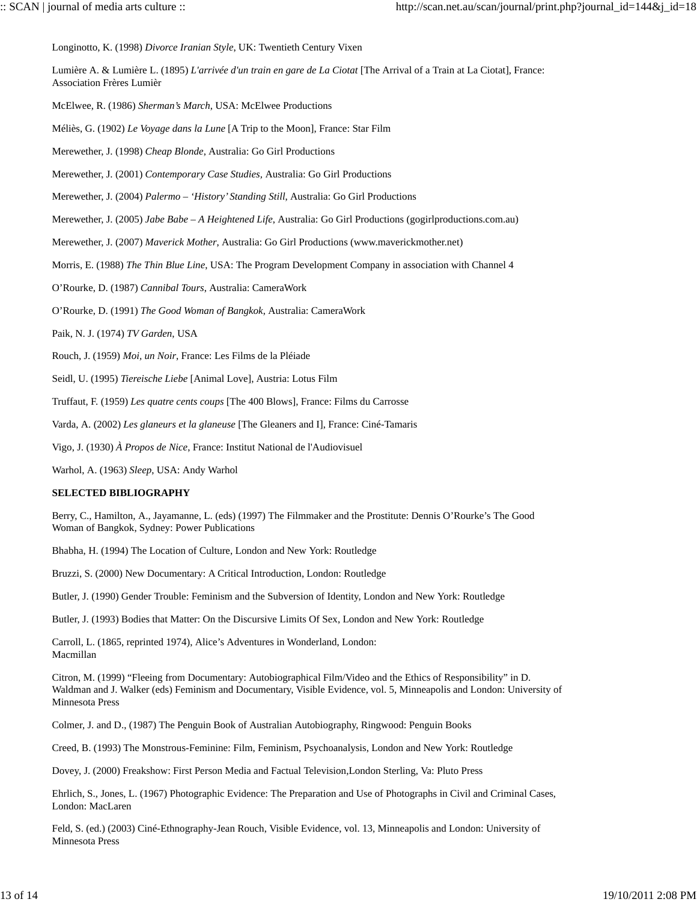Longinotto, K. (1998) *Divorce Iranian Style*, UK: Twentieth Century Vixen

Lumière A. & Lumière L. (1895) *L'arrivée d'un train en gare de La Ciotat* [The Arrival of a Train at La Ciotat], France: Association Frères Lumièr

McElwee, R. (1986) *Sherman's March*, USA: McElwee Productions

Méliès, G. (1902) *Le Voyage dans la Lune* [A Trip to the Moon], France: Star Film

Merewether, J. (1998) *Cheap Blonde*, Australia: Go Girl Productions

Merewether, J. (2001) *Contemporary Case Studies,* Australia: Go Girl Productions

Merewether, J. (2004) *Palermo – 'History' Standing Still*, Australia: Go Girl Productions

Merewether, J. (2005) *Jabe Babe – A Heightened Life*, Australia: Go Girl Productions (gogirlproductions.com.au)

Merewether, J. (2007) *Maverick Mother*, Australia: Go Girl Productions (www.maverickmother.net)

Morris, E. (1988) *The Thin Blue Line*, USA: The Program Development Company in association with Channel 4

O'Rourke, D. (1987) *Cannibal Tours*, Australia: CameraWork

O'Rourke, D. (1991) *The Good Woman of Bangkok*, Australia: CameraWork

Paik, N. J. (1974) *TV Garden*, USA

Rouch, J. (1959) *Moi, un Noir*, France: Les Films de la Pléiade

Seidl, U. (1995) *Tiereische Liebe* [Animal Love], Austria: Lotus Film

Truffaut, F. (1959) *Les quatre cents coups* [The 400 Blows], France: Films du Carrosse

Varda, A. (2002) *Les glaneurs et la glaneuse* [The Gleaners and I], France: Ciné-Tamaris

Vigo, J. (1930) *À Propos de Nice*, France: Institut National de l'Audiovisuel

Warhol, A. (1963) *Sleep*, USA: Andy Warhol

### **SELECTED BIBLIOGRAPHY**

Berry, C., Hamilton, A., Jayamanne, L. (eds) (1997) The Filmmaker and the Prostitute: Dennis O'Rourke's The Good Woman of Bangkok, Sydney: Power Publications

Bhabha, H. (1994) The Location of Culture, London and New York: Routledge

Bruzzi, S. (2000) New Documentary: A Critical Introduction, London: Routledge

Butler, J. (1990) Gender Trouble: Feminism and the Subversion of Identity, London and New York: Routledge

Butler, J. (1993) Bodies that Matter: On the Discursive Limits Of Sex, London and New York: Routledge

Carroll, L. (1865, reprinted 1974), Alice's Adventures in Wonderland, London: Macmillan

Citron, M. (1999) "Fleeing from Documentary: Autobiographical Film/Video and the Ethics of Responsibility" in D. Waldman and J. Walker (eds) Feminism and Documentary, Visible Evidence, vol. 5, Minneapolis and London: University of Minnesota Press

Colmer, J. and D., (1987) The Penguin Book of Australian Autobiography, Ringwood: Penguin Books

Creed, B. (1993) The Monstrous-Feminine: Film, Feminism, Psychoanalysis, London and New York: Routledge

Dovey, J. (2000) Freakshow: First Person Media and Factual Television,London Sterling, Va: Pluto Press

Ehrlich, S., Jones, L. (1967) Photographic Evidence: The Preparation and Use of Photographs in Civil and Criminal Cases, London: MacLaren

Feld, S. (ed.) (2003) Ciné-Ethnography-Jean Rouch, Visible Evidence, vol. 13*,* Minneapolis and London: University of Minnesota Press